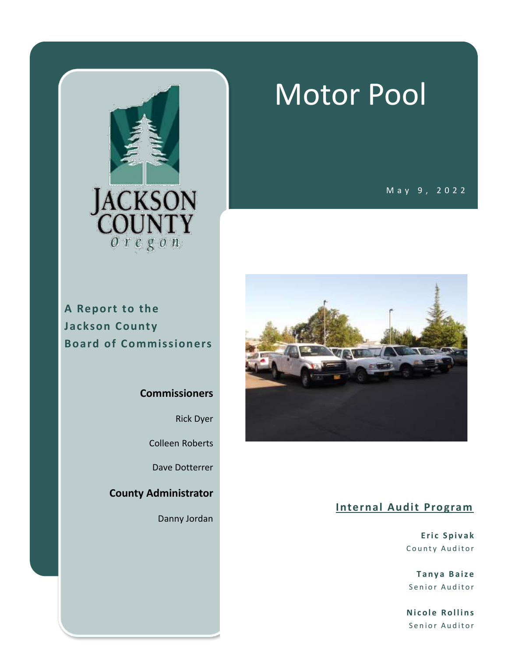

# Motor Pool

M a y 9 , 2 0 2 2

#### **A Report to the Jackson County Board of Commissioners**

#### **Commissioners**

Rick Dyer

Colleen Roberts

Dave Dotterrer

**County Administrator**

Danny Jordan



#### **Internal Audit Program**

**E r i c S p i v a k** County Auditor

**T a n y a B a i z e** Senior Auditor

**Nicole Rollins** Senior Auditor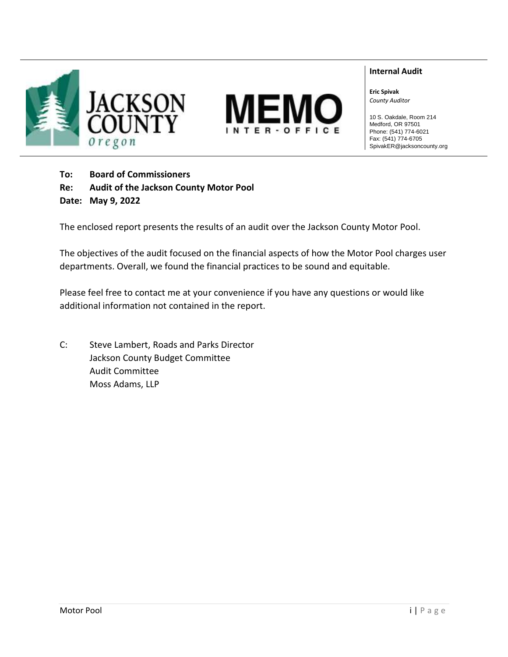



#### **Internal Audit**

**Eric Spivak** *County Auditor*

10 S. Oakdale, Room 214 Medford, OR 97501 Phone: (541) 774-6021 Fax: (541) 774-6705 SpivakER@jacksoncounty.org

**To: Board of Commissioners Re: Audit of the Jackson County Motor Pool Date: May 9, 2022**

The enclosed report presents the results of an audit over the Jackson County Motor Pool.

The objectives of the audit focused on the financial aspects of how the Motor Pool charges user departments. Overall, we found the financial practices to be sound and equitable.

Please feel free to contact me at your convenience if you have any questions or would like additional information not contained in the report.

C: Steve Lambert, Roads and Parks Director Jackson County Budget Committee Audit Committee Moss Adams, LLP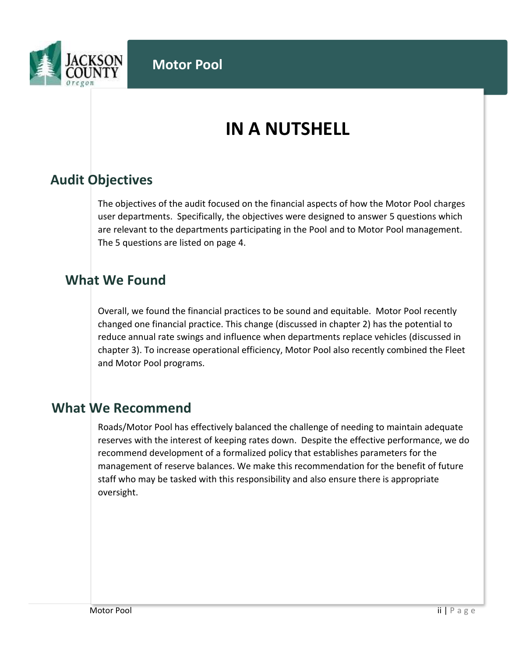

# **IN A NUTSHELL**

## **Audit Objectives**

The objectives of the audit focused on the financial aspects of how the Motor Pool charges user departments. Specifically, the objectives were designed to answer 5 questions which are relevant to the departments participating in the Pool and to Motor Pool management. The 5 questions are listed on page 4.

#### **What We Found**

Overall, we found the financial practices to be sound and equitable. Motor Pool recently changed one financial practice. This change (discussed in chapter 2) has the potential to reduce annual rate swings and influence when departments replace vehicles (discussed in chapter 3). To increase operational efficiency, Motor Pool also recently combined the Fleet and Motor Pool programs.

#### **What We Recommend**

Roads/Motor Pool has effectively balanced the challenge of needing to maintain adequate reserves with the interest of keeping rates down. Despite the effective performance, we do recommend development of a formalized policy that establishes parameters for the management of reserve balances. We make this recommendation for the benefit of future staff who may be tasked with this responsibility and also ensure there is appropriate oversight.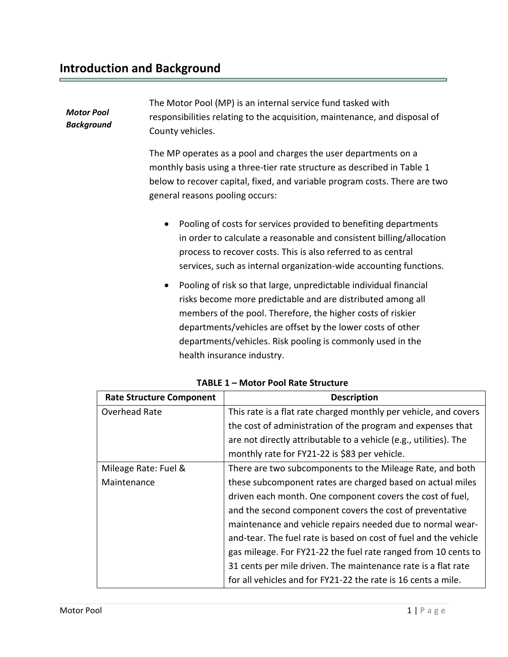| <b>Motor Pool</b><br>Background | The Motor Pool (MP) is an internal service fund tasked with                |
|---------------------------------|----------------------------------------------------------------------------|
|                                 | responsibilities relating to the acquisition, maintenance, and disposal of |
|                                 | County vehicles.                                                           |
|                                 |                                                                            |

The MP operates as a pool and charges the user departments on a monthly basis using a three-tier rate structure as described in Table 1 below to recover capital, fixed, and variable program costs. There are two general reasons pooling occurs:

- Pooling of costs for services provided to benefiting departments in order to calculate a reasonable and consistent billing/allocation process to recover costs. This is also referred to as central services, such as internal organization-wide accounting functions.
- Pooling of risk so that large, unpredictable individual financial risks become more predictable and are distributed among all members of the pool. Therefore, the higher costs of riskier departments/vehicles are offset by the lower costs of other departments/vehicles. Risk pooling is commonly used in the health insurance industry.

| <b>Rate Structure Component</b> | <b>Description</b>                                                |
|---------------------------------|-------------------------------------------------------------------|
| Overhead Rate                   | This rate is a flat rate charged monthly per vehicle, and covers  |
|                                 | the cost of administration of the program and expenses that       |
|                                 | are not directly attributable to a vehicle (e.g., utilities). The |
|                                 | monthly rate for FY21-22 is \$83 per vehicle.                     |
| Mileage Rate: Fuel &            | There are two subcomponents to the Mileage Rate, and both         |
| Maintenance                     | these subcomponent rates are charged based on actual miles        |
|                                 | driven each month. One component covers the cost of fuel,         |
|                                 | and the second component covers the cost of preventative          |
|                                 | maintenance and vehicle repairs needed due to normal wear-        |
|                                 | and-tear. The fuel rate is based on cost of fuel and the vehicle  |
|                                 | gas mileage. For FY21-22 the fuel rate ranged from 10 cents to    |
|                                 | 31 cents per mile driven. The maintenance rate is a flat rate     |
|                                 | for all vehicles and for FY21-22 the rate is 16 cents a mile.     |

| TABLE 1 - Motor Pool Rate Structure |
|-------------------------------------|
|                                     |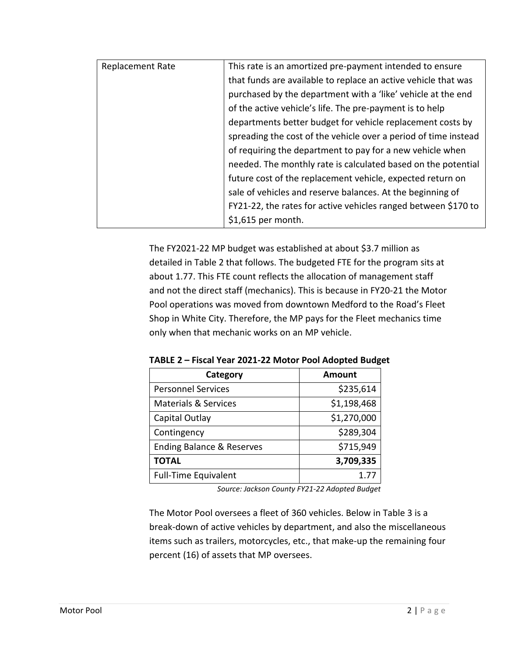| <b>Replacement Rate</b> | This rate is an amortized pre-payment intended to ensure        |
|-------------------------|-----------------------------------------------------------------|
|                         | that funds are available to replace an active vehicle that was  |
|                         | purchased by the department with a 'like' vehicle at the end    |
|                         | of the active vehicle's life. The pre-payment is to help        |
|                         | departments better budget for vehicle replacement costs by      |
|                         | spreading the cost of the vehicle over a period of time instead |
|                         | of requiring the department to pay for a new vehicle when       |
|                         | needed. The monthly rate is calculated based on the potential   |
|                         | future cost of the replacement vehicle, expected return on      |
|                         | sale of vehicles and reserve balances. At the beginning of      |
|                         | FY21-22, the rates for active vehicles ranged between \$170 to  |
|                         | \$1,615 per month.                                              |

The FY2021-22 MP budget was established at about \$3.7 million as detailed in Table 2 that follows. The budgeted FTE for the program sits at about 1.77. This FTE count reflects the allocation of management staff and not the direct staff (mechanics). This is because in FY20-21 the Motor Pool operations was moved from downtown Medford to the Road's Fleet Shop in White City. Therefore, the MP pays for the Fleet mechanics time only when that mechanic works on an MP vehicle.

| Category                             | Amount      |
|--------------------------------------|-------------|
| <b>Personnel Services</b>            | \$235,614   |
| <b>Materials &amp; Services</b>      | \$1,198,468 |
| Capital Outlay                       | \$1,270,000 |
| Contingency                          | \$289,304   |
| <b>Ending Balance &amp; Reserves</b> | \$715,949   |
| <b>TOTAL</b>                         | 3,709,335   |
| <b>Full-Time Equivalent</b>          | 1.77        |

**TABLE 2 – Fiscal Year 2021-22 Motor Pool Adopted Budget**

*Source: Jackson County FY21-22 Adopted Budget*

The Motor Pool oversees a fleet of 360 vehicles. Below in Table 3 is a break-down of active vehicles by department, and also the miscellaneous items such as trailers, motorcycles, etc., that make-up the remaining four percent (16) of assets that MP oversees.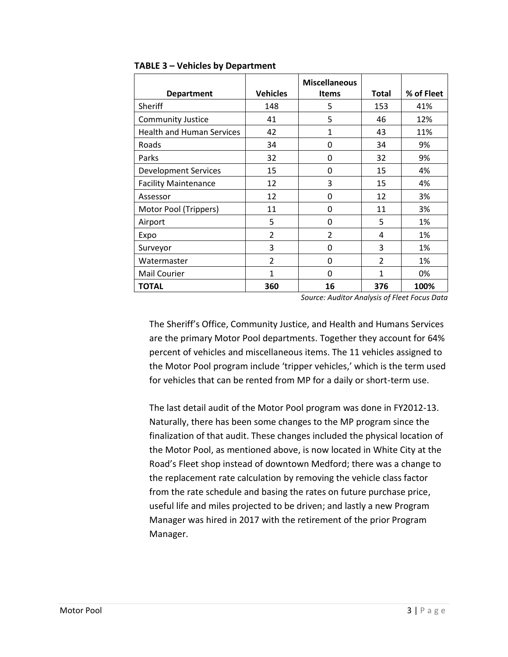|                                  |                 | <b>Miscellaneous</b>     |                |            |
|----------------------------------|-----------------|--------------------------|----------------|------------|
| <b>Department</b>                | <b>Vehicles</b> | <b>Items</b>             | <b>Total</b>   | % of Fleet |
| Sheriff                          | 148             | 5                        | 153            | 41%        |
| <b>Community Justice</b>         | 41              | 5                        | 46             | 12%        |
| <b>Health and Human Services</b> | 42              | 1                        | 43             | 11%        |
| Roads                            | 34              | 0                        | 34             | 9%         |
| Parks                            | 32              | 0                        | 32             | 9%         |
| <b>Development Services</b>      | 15              | 0                        | 15             | 4%         |
| <b>Facility Maintenance</b>      | 12              | 3                        | 15             | 4%         |
| Assessor                         | 12              | 0                        | 12             | 3%         |
| Motor Pool (Trippers)            | 11              | 0                        | 11             | 3%         |
| Airport                          | 5               | 0                        | 5              | 1%         |
| Expo                             | $\overline{2}$  | $\overline{\mathcal{L}}$ | 4              | 1%         |
| Surveyor                         | 3               | 0                        | 3              | 1%         |
| Watermaster                      | $\overline{2}$  | 0                        | $\overline{2}$ | 1%         |
| Mail Courier                     | $\mathbf{1}$    | $\Omega$                 | 1              | 0%         |
| <b>TOTAL</b>                     | 360             | 16                       | 376            | 100%       |

#### **TABLE 3 – Vehicles by Department**

*Source: Auditor Analysis of Fleet Focus Data*

The Sheriff's Office, Community Justice, and Health and Humans Services are the primary Motor Pool departments. Together they account for 64% percent of vehicles and miscellaneous items. The 11 vehicles assigned to the Motor Pool program include 'tripper vehicles,' which is the term used for vehicles that can be rented from MP for a daily or short-term use.

The last detail audit of the Motor Pool program was done in FY2012-13. Naturally, there has been some changes to the MP program since the finalization of that audit. These changes included the physical location of the Motor Pool, as mentioned above, is now located in White City at the Road's Fleet shop instead of downtown Medford; there was a change to the replacement rate calculation by removing the vehicle class factor from the rate schedule and basing the rates on future purchase price, useful life and miles projected to be driven; and lastly a new Program Manager was hired in 2017 with the retirement of the prior Program Manager.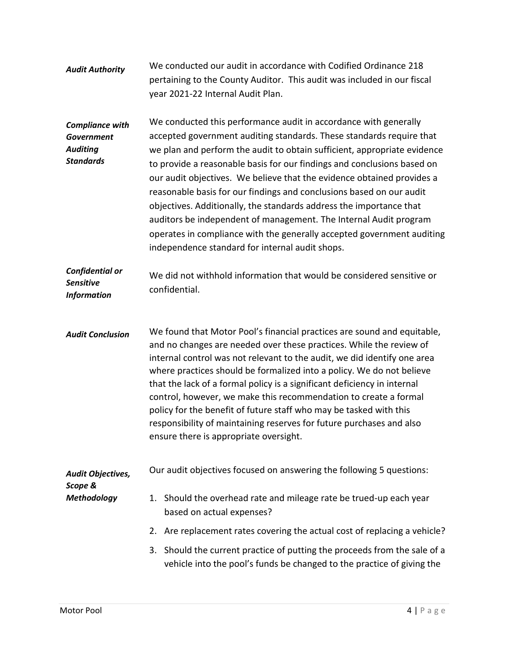| <b>Audit Authority</b>                                                             | We conducted our audit in accordance with Codified Ordinance 218<br>pertaining to the County Auditor. This audit was included in our fiscal<br>year 2021-22 Internal Audit Plan.                                                                                                                                                                                                                                                                                                                                                                                                                                                                                                                                           |  |
|------------------------------------------------------------------------------------|----------------------------------------------------------------------------------------------------------------------------------------------------------------------------------------------------------------------------------------------------------------------------------------------------------------------------------------------------------------------------------------------------------------------------------------------------------------------------------------------------------------------------------------------------------------------------------------------------------------------------------------------------------------------------------------------------------------------------|--|
| <b>Compliance with</b><br><b>Government</b><br><b>Auditing</b><br><b>Standards</b> | We conducted this performance audit in accordance with generally<br>accepted government auditing standards. These standards require that<br>we plan and perform the audit to obtain sufficient, appropriate evidence<br>to provide a reasonable basis for our findings and conclusions based on<br>our audit objectives. We believe that the evidence obtained provides a<br>reasonable basis for our findings and conclusions based on our audit<br>objectives. Additionally, the standards address the importance that<br>auditors be independent of management. The Internal Audit program<br>operates in compliance with the generally accepted government auditing<br>independence standard for internal audit shops. |  |
| Confidential or<br><b>Sensitive</b><br><b>Information</b>                          | We did not withhold information that would be considered sensitive or<br>confidential.                                                                                                                                                                                                                                                                                                                                                                                                                                                                                                                                                                                                                                     |  |
| <b>Audit Conclusion</b>                                                            | We found that Motor Pool's financial practices are sound and equitable,<br>and no changes are needed over these practices. While the review of<br>internal control was not relevant to the audit, we did identify one area<br>where practices should be formalized into a policy. We do not believe<br>that the lack of a formal policy is a significant deficiency in internal<br>control, however, we make this recommendation to create a formal<br>policy for the benefit of future staff who may be tasked with this<br>responsibility of maintaining reserves for future purchases and also<br>ensure there is appropriate oversight.                                                                                |  |
| Audit Objectives,<br>Scope &                                                       | Our audit objectives focused on answering the following 5 questions:                                                                                                                                                                                                                                                                                                                                                                                                                                                                                                                                                                                                                                                       |  |
| <b>Methodology</b>                                                                 | 1. Should the overhead rate and mileage rate be trued-up each year<br>based on actual expenses?                                                                                                                                                                                                                                                                                                                                                                                                                                                                                                                                                                                                                            |  |
|                                                                                    | 2. Are replacement rates covering the actual cost of replacing a vehicle?                                                                                                                                                                                                                                                                                                                                                                                                                                                                                                                                                                                                                                                  |  |
|                                                                                    | 3. Should the current practice of putting the proceeds from the sale of a<br>vehicle into the pool's funds be changed to the practice of giving the                                                                                                                                                                                                                                                                                                                                                                                                                                                                                                                                                                        |  |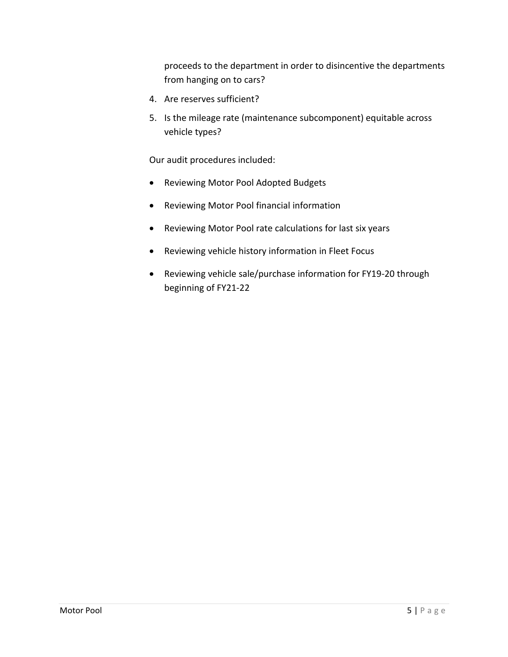proceeds to the department in order to disincentive the departments from hanging on to cars?

- 4. Are reserves sufficient?
- 5. Is the mileage rate (maintenance subcomponent) equitable across vehicle types?

Our audit procedures included:

- Reviewing Motor Pool Adopted Budgets
- Reviewing Motor Pool financial information
- Reviewing Motor Pool rate calculations for last six years
- Reviewing vehicle history information in Fleet Focus
- Reviewing vehicle sale/purchase information for FY19-20 through beginning of FY21-22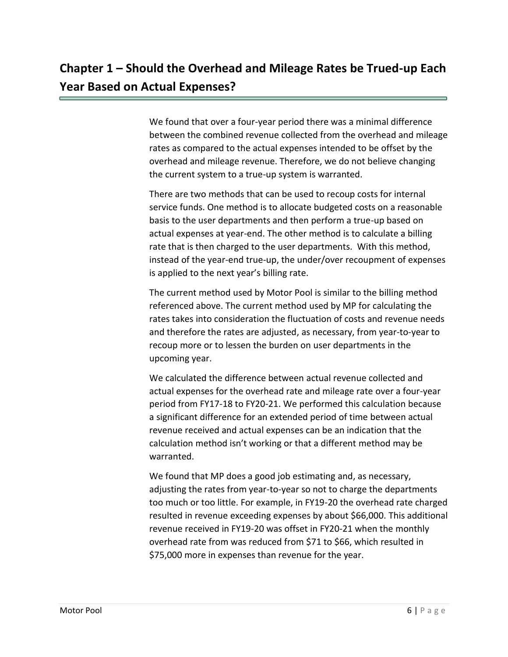We found that over a four-year period there was a minimal difference between the combined revenue collected from the overhead and mileage rates as compared to the actual expenses intended to be offset by the overhead and mileage revenue. Therefore, we do not believe changing the current system to a true-up system is warranted.

There are two methods that can be used to recoup costs for internal service funds. One method is to allocate budgeted costs on a reasonable basis to the user departments and then perform a true-up based on actual expenses at year-end. The other method is to calculate a billing rate that is then charged to the user departments. With this method, instead of the year-end true-up, the under/over recoupment of expenses is applied to the next year's billing rate.

The current method used by Motor Pool is similar to the billing method referenced above. The current method used by MP for calculating the rates takes into consideration the fluctuation of costs and revenue needs and therefore the rates are adjusted, as necessary, from year-to-year to recoup more or to lessen the burden on user departments in the upcoming year.

We calculated the difference between actual revenue collected and actual expenses for the overhead rate and mileage rate over a four-year period from FY17-18 to FY20-21. We performed this calculation because a significant difference for an extended period of time between actual revenue received and actual expenses can be an indication that the calculation method isn't working or that a different method may be warranted.

We found that MP does a good job estimating and, as necessary, adjusting the rates from year-to-year so not to charge the departments too much or too little. For example, in FY19-20 the overhead rate charged resulted in revenue exceeding expenses by about \$66,000. This additional revenue received in FY19-20 was offset in FY20-21 when the monthly overhead rate from was reduced from \$71 to \$66, which resulted in \$75,000 more in expenses than revenue for the year.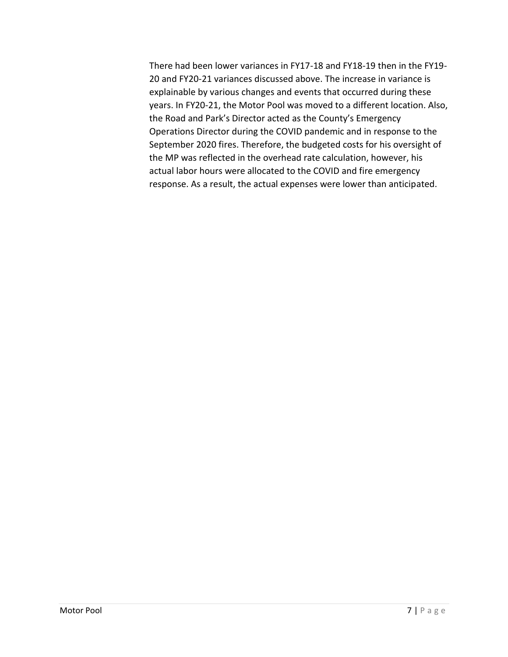There had been lower variances in FY17-18 and FY18-19 then in the FY19- 20 and FY20-21 variances discussed above. The increase in variance is explainable by various changes and events that occurred during these years. In FY20-21, the Motor Pool was moved to a different location. Also, the Road and Park's Director acted as the County's Emergency Operations Director during the COVID pandemic and in response to the September 2020 fires. Therefore, the budgeted costs for his oversight of the MP was reflected in the overhead rate calculation, however, his actual labor hours were allocated to the COVID and fire emergency response. As a result, the actual expenses were lower than anticipated.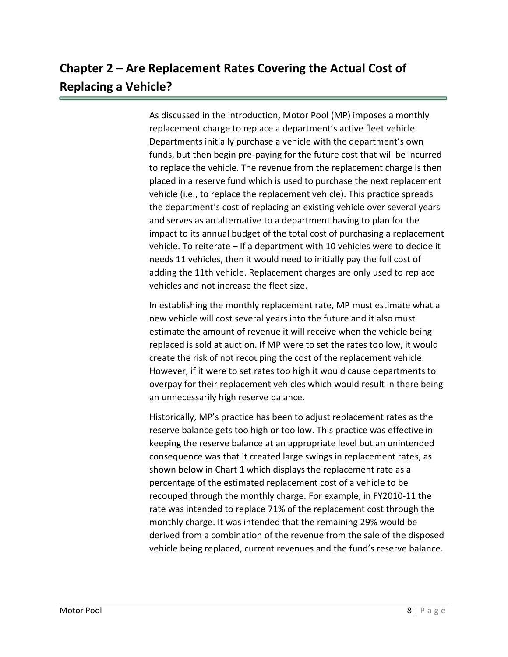## **Chapter 2 – Are Replacement Rates Covering the Actual Cost of Replacing a Vehicle?**

As discussed in the introduction, Motor Pool (MP) imposes a monthly replacement charge to replace a department's active fleet vehicle. Departments initially purchase a vehicle with the department's own funds, but then begin pre-paying for the future cost that will be incurred to replace the vehicle. The revenue from the replacement charge is then placed in a reserve fund which is used to purchase the next replacement vehicle (i.e., to replace the replacement vehicle). This practice spreads the department's cost of replacing an existing vehicle over several years and serves as an alternative to a department having to plan for the impact to its annual budget of the total cost of purchasing a replacement vehicle. To reiterate – If a department with 10 vehicles were to decide it needs 11 vehicles, then it would need to initially pay the full cost of adding the 11th vehicle. Replacement charges are only used to replace vehicles and not increase the fleet size.

In establishing the monthly replacement rate, MP must estimate what a new vehicle will cost several years into the future and it also must estimate the amount of revenue it will receive when the vehicle being replaced is sold at auction. If MP were to set the rates too low, it would create the risk of not recouping the cost of the replacement vehicle. However, if it were to set rates too high it would cause departments to overpay for their replacement vehicles which would result in there being an unnecessarily high reserve balance.

Historically, MP's practice has been to adjust replacement rates as the reserve balance gets too high or too low. This practice was effective in keeping the reserve balance at an appropriate level but an unintended consequence was that it created large swings in replacement rates, as shown below in Chart 1 which displays the replacement rate as a percentage of the estimated replacement cost of a vehicle to be recouped through the monthly charge. For example, in FY2010-11 the rate was intended to replace 71% of the replacement cost through the monthly charge. It was intended that the remaining 29% would be derived from a combination of the revenue from the sale of the disposed vehicle being replaced, current revenues and the fund's reserve balance.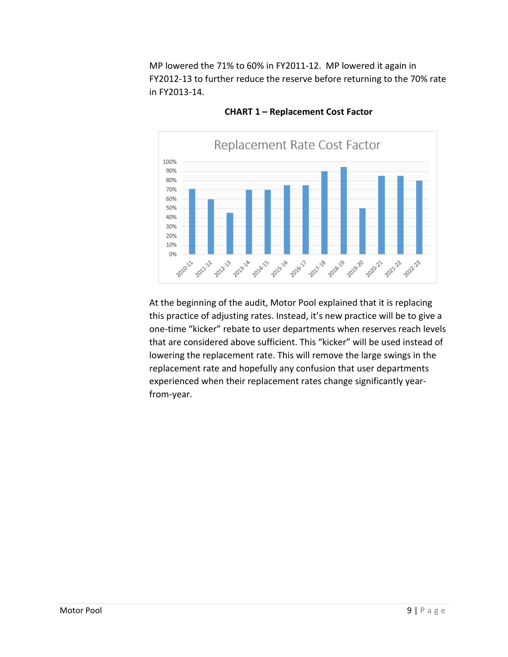MP lowered the 71% to 60% in FY2011-12. MP lowered it again in FY2012-13 to further reduce the reserve before returning to the 70% rate in FY2013-14.



**CHART 1 – Replacement Cost Factor**

At the beginning of the audit, Motor Pool explained that it is replacing this practice of adjusting rates. Instead, it's new practice will be to give a one-time "kicker" rebate to user departments when reserves reach levels that are considered above sufficient. This "kicker" will be used instead of lowering the replacement rate. This will remove the large swings in the replacement rate and hopefully any confusion that user departments experienced when their replacement rates change significantly yearfrom-year.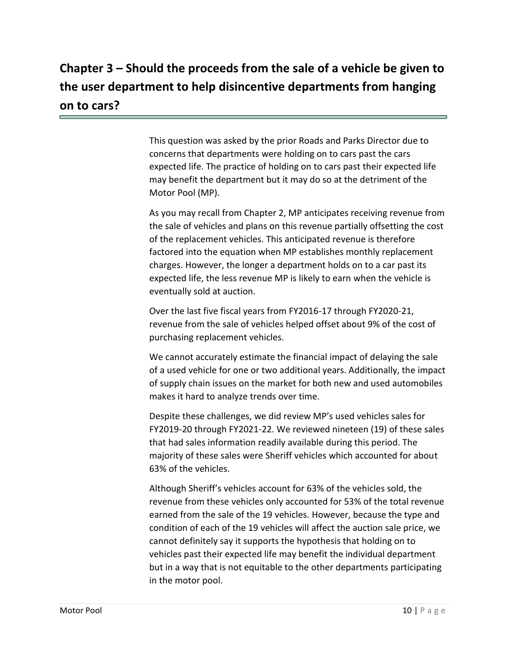# **Chapter 3 – Should the proceeds from the sale of a vehicle be given to the user department to help disincentive departments from hanging on to cars?**

This question was asked by the prior Roads and Parks Director due to concerns that departments were holding on to cars past the cars expected life. The practice of holding on to cars past their expected life may benefit the department but it may do so at the detriment of the Motor Pool (MP).

As you may recall from Chapter 2, MP anticipates receiving revenue from the sale of vehicles and plans on this revenue partially offsetting the cost of the replacement vehicles. This anticipated revenue is therefore factored into the equation when MP establishes monthly replacement charges. However, the longer a department holds on to a car past its expected life, the less revenue MP is likely to earn when the vehicle is eventually sold at auction.

Over the last five fiscal years from FY2016-17 through FY2020-21, revenue from the sale of vehicles helped offset about 9% of the cost of purchasing replacement vehicles.

We cannot accurately estimate the financial impact of delaying the sale of a used vehicle for one or two additional years. Additionally, the impact of supply chain issues on the market for both new and used automobiles makes it hard to analyze trends over time.

Despite these challenges, we did review MP's used vehicles sales for FY2019-20 through FY2021-22. We reviewed nineteen (19) of these sales that had sales information readily available during this period. The majority of these sales were Sheriff vehicles which accounted for about 63% of the vehicles.

Although Sheriff's vehicles account for 63% of the vehicles sold, the revenue from these vehicles only accounted for 53% of the total revenue earned from the sale of the 19 vehicles. However, because the type and condition of each of the 19 vehicles will affect the auction sale price, we cannot definitely say it supports the hypothesis that holding on to vehicles past their expected life may benefit the individual department but in a way that is not equitable to the other departments participating in the motor pool.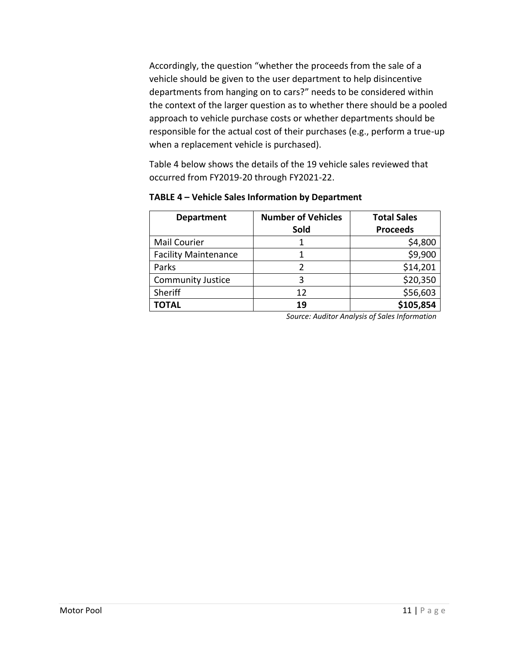Accordingly, the question "whether the proceeds from the sale of a vehicle should be given to the user department to help disincentive departments from hanging on to cars?" needs to be considered within the context of the larger question as to whether there should be a pooled approach to vehicle purchase costs or whether departments should be responsible for the actual cost of their purchases (e.g., perform a true-up when a replacement vehicle is purchased).

Table 4 below shows the details of the 19 vehicle sales reviewed that occurred from FY2019-20 through FY2021-22.

| <b>Department</b>           | <b>Number of Vehicles</b> | <b>Total Sales</b> |  |
|-----------------------------|---------------------------|--------------------|--|
|                             | Sold                      | <b>Proceeds</b>    |  |
| <b>Mail Courier</b>         |                           | \$4,800            |  |
| <b>Facility Maintenance</b> |                           | \$9,900            |  |
| Parks                       |                           | \$14,201           |  |
| <b>Community Justice</b>    | 3                         | \$20,350           |  |
| Sheriff                     | 12                        | \$56,603           |  |
| <b>TOTAL</b>                | 19                        | \$105,854          |  |

**TABLE 4 – Vehicle Sales Information by Department**

*Source: Auditor Analysis of Sales Information*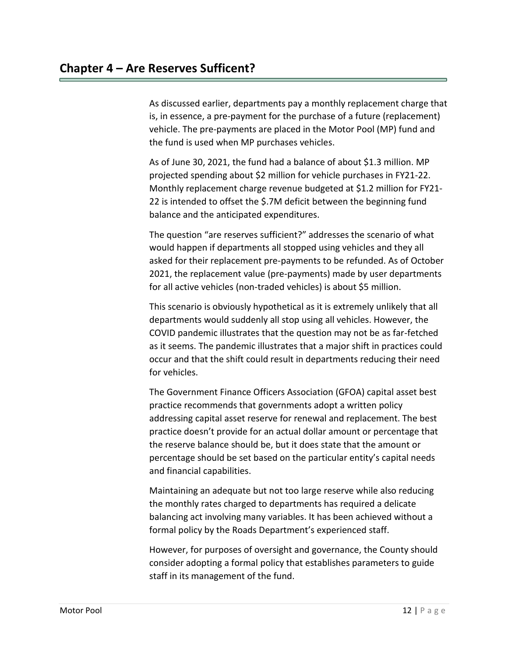As discussed earlier, departments pay a monthly replacement charge that is, in essence, a pre-payment for the purchase of a future (replacement) vehicle. The pre-payments are placed in the Motor Pool (MP) fund and the fund is used when MP purchases vehicles.

As of June 30, 2021, the fund had a balance of about \$1.3 million. MP projected spending about \$2 million for vehicle purchases in FY21-22. Monthly replacement charge revenue budgeted at \$1.2 million for FY21- 22 is intended to offset the \$.7M deficit between the beginning fund balance and the anticipated expenditures.

The question "are reserves sufficient?" addresses the scenario of what would happen if departments all stopped using vehicles and they all asked for their replacement pre-payments to be refunded. As of October 2021, the replacement value (pre-payments) made by user departments for all active vehicles (non-traded vehicles) is about \$5 million.

This scenario is obviously hypothetical as it is extremely unlikely that all departments would suddenly all stop using all vehicles. However, the COVID pandemic illustrates that the question may not be as far-fetched as it seems. The pandemic illustrates that a major shift in practices could occur and that the shift could result in departments reducing their need for vehicles.

The Government Finance Officers Association (GFOA) capital asset best practice recommends that governments adopt a written policy addressing capital asset reserve for renewal and replacement. The best practice doesn't provide for an actual dollar amount or percentage that the reserve balance should be, but it does state that the amount or percentage should be set based on the particular entity's capital needs and financial capabilities.

Maintaining an adequate but not too large reserve while also reducing the monthly rates charged to departments has required a delicate balancing act involving many variables. It has been achieved without a formal policy by the Roads Department's experienced staff.

However, for purposes of oversight and governance, the County should consider adopting a formal policy that establishes parameters to guide staff in its management of the fund.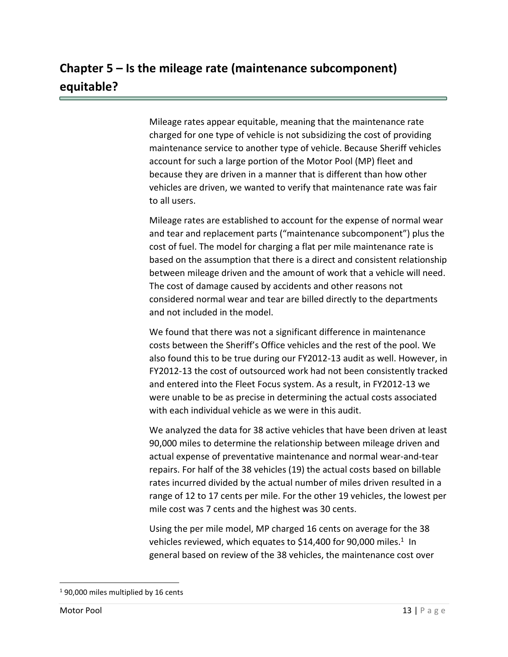# **Chapter 5 – Is the mileage rate (maintenance subcomponent) equitable?**

Mileage rates appear equitable, meaning that the maintenance rate charged for one type of vehicle is not subsidizing the cost of providing maintenance service to another type of vehicle. Because Sheriff vehicles account for such a large portion of the Motor Pool (MP) fleet and because they are driven in a manner that is different than how other vehicles are driven, we wanted to verify that maintenance rate was fair to all users.

Mileage rates are established to account for the expense of normal wear and tear and replacement parts ("maintenance subcomponent") plus the cost of fuel. The model for charging a flat per mile maintenance rate is based on the assumption that there is a direct and consistent relationship between mileage driven and the amount of work that a vehicle will need. The cost of damage caused by accidents and other reasons not considered normal wear and tear are billed directly to the departments and not included in the model.

We found that there was not a significant difference in maintenance costs between the Sheriff's Office vehicles and the rest of the pool. We also found this to be true during our FY2012-13 audit as well. However, in FY2012-13 the cost of outsourced work had not been consistently tracked and entered into the Fleet Focus system. As a result, in FY2012-13 we were unable to be as precise in determining the actual costs associated with each individual vehicle as we were in this audit.

We analyzed the data for 38 active vehicles that have been driven at least 90,000 miles to determine the relationship between mileage driven and actual expense of preventative maintenance and normal wear-and-tear repairs. For half of the 38 vehicles (19) the actual costs based on billable rates incurred divided by the actual number of miles driven resulted in a range of 12 to 17 cents per mile. For the other 19 vehicles, the lowest per mile cost was 7 cents and the highest was 30 cents.

Using the per mile model, MP charged 16 cents on average for the 38 vehicles reviewed, which equates to \$14,400 for 90,000 miles.<sup>1</sup> In general based on review of the 38 vehicles, the maintenance cost over

 $\overline{\phantom{a}}$ 

<sup>&</sup>lt;sup>1</sup> 90,000 miles multiplied by 16 cents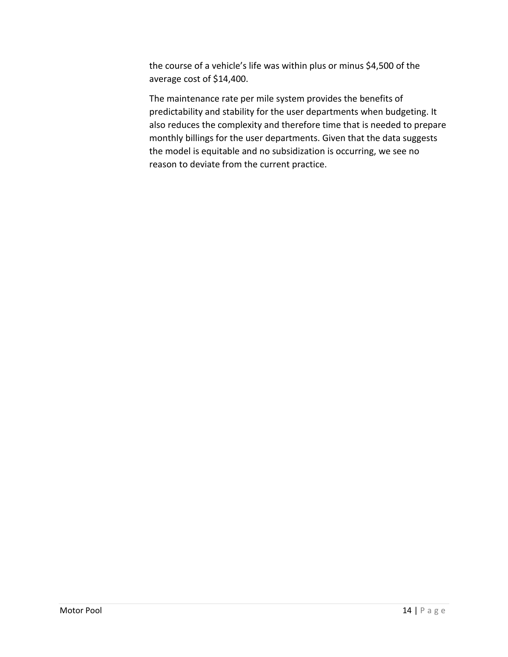the course of a vehicle's life was within plus or minus \$4,500 of the average cost of \$14,400.

The maintenance rate per mile system provides the benefits of predictability and stability for the user departments when budgeting. It also reduces the complexity and therefore time that is needed to prepare monthly billings for the user departments. Given that the data suggests the model is equitable and no subsidization is occurring, we see no reason to deviate from the current practice.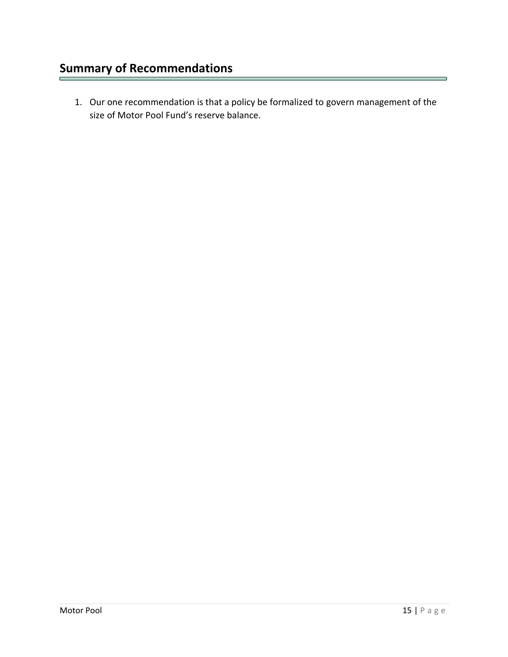1. Our one recommendation is that a policy be formalized to govern management of the size of Motor Pool Fund's reserve balance.

┑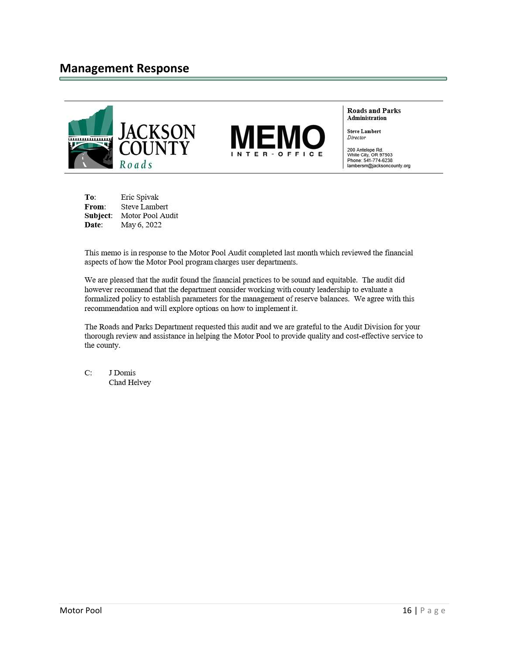

**Roads and Parks** Administration

**Steve Lambert** 

200 Antelope Rd.<br>White City, OR 97503<br>Phone: 541-774-6238 lambersm@jacksoncounty.org

Eric Spivak To: From: **Steve Lambert** Subject: Motor Pool Audit Date: May 6, 2022

This memo is in response to the Motor Pool Audit completed last month which reviewed the financial aspects of how the Motor Pool program charges user departments.

We are pleased that the audit found the financial practices to be sound and equitable. The audit did however recommend that the department consider working with county leadership to evaluate a formalized policy to establish parameters for the management of reserve balances. We agree with this recommendation and will explore options on how to implement it.

The Roads and Parks Department requested this audit and we are grateful to the Audit Division for your thorough review and assistance in helping the Motor Pool to provide quality and cost-effective service to the county.

 $C:$ J Domis Chad Helvey